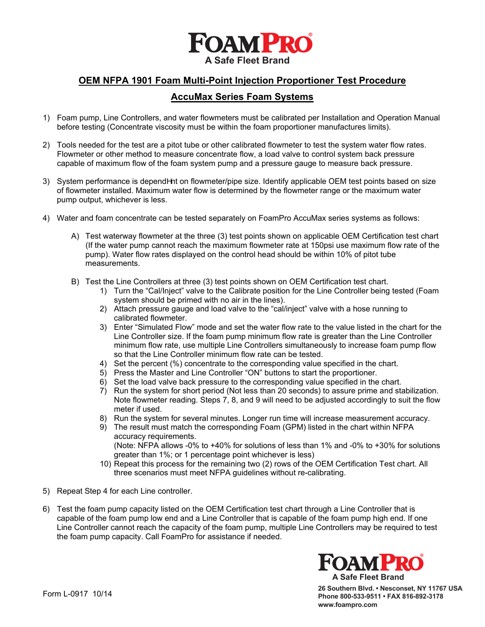

## **OEM NFPA 1901 Foam Multi-Point Injection Proportioner Test Procedure**

## **AccuMax Series Foam Systems**

- 1) Foam pump, Line Controllers, and water flowmeters must be calibrated per Installation and Operation Manual before testing (Concentrate viscosity must be within the foam proportioner manufactures limits).
- 2) Tools needed for the test are a pitot tube or other calibrated flowmeter to test the system water flow rates. Flowmeter or other method to measure concentrate flow, a load valve to control system back pressure capable of maximum flow of the foam system pump and a pressure gauge to measure back pressure.
- 3) System performance is depend^nt on flowmeter/pipe size. Identify applicable OEM test points based on size of flowmeter installed. Maximum water flow is determined by the flowmeter range or the maximum water pump output, whichever is less.
- 4) Water and foam concentrate can be tested separately on FoamPro AccuMax series systems as follows:
	- A) Test waterway flowmeter at the three (3) test points shown on applicable OEM Certification test chart (If the water pump cannot reach the maximum flowmeter rate at 150psi use maximum flow rate of the pump). Water flow rates displayed on the control head should be within 10% of pitot tube measurements.
	- B) Test the Line Controllers at three (3) test points shown on OEM Certification test chart.
		- 1) Turn the "Cal/Inject" valve to the Calibrate position for the Line Controller being tested (Foam system should be primed with no air in the lines).
		- 2) Attach pressure gauge and load valve to the "cal/inject" valve with a hose running to calibrated flowmeter.
		- 3) Enter "Simulated Flow" mode and set the water flow rate to the value listed in the chart for the Line Controller size. If the foam pump minimum flow rate is greater than the Line Controller minimum flow rate, use multiple Line Controllers simultaneously to increase foam pump flow so that the Line Controller minimum flow rate can be tested.
		- 4) Set the percent (%) concentrate to the corresponding value specified in the chart.
		- 5) Press the Master and Line Controller "ON" buttons to start the proportioner.
		- 6) Set the load valve back pressure to the corresponding value specified in the chart.
		- 7) Run the system for short period (Not less than 20 seconds) to assure prime and stabilization. Note flowmeter reading. Steps 7, 8, and 9 will need to be adjusted accordingly to suit the flow meter if used.
		- 8) Run the system for several minutes. Longer run time will increase measurement accuracy.
		- 9) The result must match the corresponding Foam (GPM) listed in the chart within NFPA accuracy requirements. (Note: NFPA allows -0% to +40% for solutions of less than 1% and -0% to +30% for solutions greater than 1%; or 1 percentage point whichever is less)
		- 10) Repeat this process for the remaining two (2) rows of the OEM Certification Test chart. All three scenarios must meet NFPA guidelines without re-calibrating.
- 5) Repeat Step 4 for each Line controller.
- 6) Test the foam pump capacity listed on the OEM Certification test chart through a Line Controller that is capable of the foam pump low end and a Line Controller that is capable of the foam pump high end. If one Line Controller cannot reach the capacity of the foam pump, multiple Line Controllers may be required to test the foam pump capacity. Call FoamPro for assistance if needed.



**26 Southern Blvd. • Nesconset, NY 11767 USA Phone 800-533-9511 • FAX 816-892-3178 www.foampro.com**